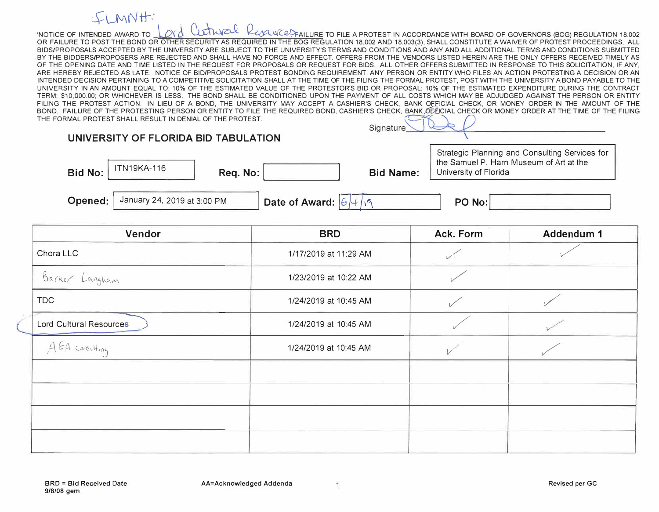## $\cdot$ CI MN $H$ :

'NOTICE OF INTENDED AWARD TO  $\mathcal{N}$   $\mathcal{N}$  with  $\mathcal{N}$   $\mathcal{N}$  with  $\mathcal{N}$  with  $\mathcal{N}$  with  $\mathcal{N}$   $\mathcal{N}$  with  $\mathcal{N}$   $\mathcal{N}$  with  $\mathcal{N}$   $\mathcal{N}$  with  $\mathcal{N}$   $\mathcal{N}$  with  $\mathcal{N}$   $\mathcal{N}$  with BOA OR FAILURE TO POST THE BOND OR OTHER SECURITY AS REQUIRED IN THE BOG REGULATION 18.002 AND 18.003(3), SHALL CONSTITUTE A WAIVER OF PROTEST PROCEEDINGS. ALL<br>BIDS/PROPOSALS ACCEPTED BY THE UNIVERSITY ARE SUBJECT TO THE UNIVE ARE SUBJECT TO THE UNIVERSITY'S TERMS AND CONDITIONS AND ANY AND ALL ADDITIONAL TERMS AND CONDITIONS SUBMITTED BY THE BIDDERS/PROPOSERS ARE REJECTED AND SHALL HAVE NO FORCE AND EFFECT. OFFERS FROM THE VENDORS LISTED HEREIN ARE THE ONLY OFFERS RECEIVED TIMELY AS OF THE OPENING DATE AND TIME LISTED IN THE REQUEST FOR PROPOSALS OR REQUEST FOR BIDS. ALL OTHER OFFERS SUBMITTED IN RESPONSE TO THIS SOLICITATION, IF ANY, ARE HEREBY REJECTED AS LATE. NOTICE OF BID/PROPOSALS PROTEST BONDING REQUIREMENT. ANY PERSON OR ENTITY WHO FILES AN ACTION PROTESTING A DECISION OR AN INTENDED DECISION PERTAINING TO A COMPETITIVE SOLICITATION SHALL AT THE TIME OF THE FILING THE FORMAL PROTEST, POST WITH THE UNIVERSITY A BOND PAYABLE TO THE UNIVERSITY IN AN AMOUNT EQUAL TO: 10% OF THE ESTIMATED VALUE OF THE PROTESTOR'S BID OR PROPOSAL; 10% OF THE ESTIMATED EXPENDITURE DURING THE CONTRACT TERM; \$10,000.00; OR WHICHEVER IS LESS. THE BOND SHALL BE CONDITIONED UPON THE PAYMENT OF ALL COSTS WHICH MAY BE ADJUDGED AGAINST THE PERSON OR ENTITY FILING THE PROTEST ACTION. IN LIEU OF A BOND, THE UNIVERSITY MAY ACCEPT A CASHIER'S CHECK, BANK OFFICIAL CHECK, OR MONEY ORDER IN THE AMOUNT OF THE BOND. FAILURE OF THE PROTESTING PERSON OR ENTITY TO FILE THE REQUIRED BOND, CASHIER'S CHECK, BANK OFFICIAL CHECK OR MONEY ORDER AT THE TIME OF THE FILING THE FORMAL PROTEST SHALL RESULT IN DENIAL OF THE PROTEST.  $\frac{1}{2}$ 

|                | UNIVERSITY OF FLORIDA BID TABULATION |              |                           |                  |                                                                                                                    |
|----------------|--------------------------------------|--------------|---------------------------|------------------|--------------------------------------------------------------------------------------------------------------------|
| <b>Bid No:</b> | ITN19KA-116                          | Req. No: $ $ |                           | <b>Bid Name:</b> | Strategic Planning and Consulting Services for<br>the Samuel P. Harn Museum of Art at the<br>University of Florida |
| Opened:        | January 24, 2019 at 3:00 PM          |              | Date of Award: $ 6 $ +/19 |                  | PO No:                                                                                                             |

| Vendor                  | <b>BRD</b>            | Ack. Form | Addendum 1 |
|-------------------------|-----------------------|-----------|------------|
| Chora LLC               | 1/17/2019 at 11:29 AM |           |            |
| Barker Langham          | 1/23/2019 at 10:22 AM |           |            |
| <b>TDC</b>              | 1/24/2019 at 10:45 AM |           |            |
| Lord Cultural Resources | 1/24/2019 at 10:45 AM |           |            |
| A EA consulting         | 1/24/2019 at 10:45 AM |           |            |
|                         |                       |           |            |
|                         |                       |           |            |
|                         |                       |           |            |
|                         |                       |           |            |